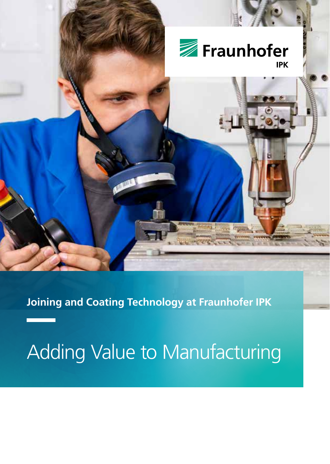

**Joining and Coating Technology at Fraunhofer IPK**

# Adding Value to Manufacturing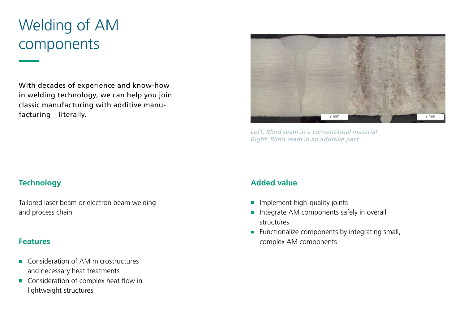# Welding of AM components

With decades of experience and know-how in welding technology, we can help you join classic manufacturing with additive manufacturing – literally.



*Left: Blind seam in a conventional material Right: Blind seam in an additive part*

### **Technology**

Tailored laser beam or electron beam welding and process chain

### **Features**

- Consideration of AM microstructures  $\mathbf{r}$ and necessary heat treatments
- Consideration of complex heat flow in lightweight structures

- Implement high-quality joints  $\blacksquare$
- Integrate AM components safely in overall structures
- Functionalize components by integrating small, complex AM components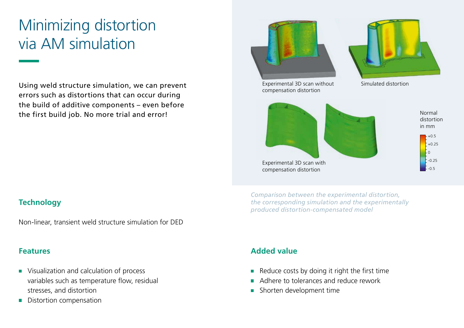# Minimizing distortion via AM simulation

Using weld structure simulation, we can prevent errors such as distortions that can occur during the build of additive components – even before the first build job. No more trial and error!

# **Technology**

Non-linear, transient weld structure simulation for DED

### **Features**

- **Visualization and calculation of process** variables such as temperature flow, residual stresses, and distortion
- Distortion compensation



*Comparison between the experimental distortion, the corresponding simulation and the experimentally produced distortion-compensated model*

- Reduce costs by doing it right the first time  $\blacksquare$
- Adhere to tolerances and reduce rework
- Shorten development time  $\blacksquare$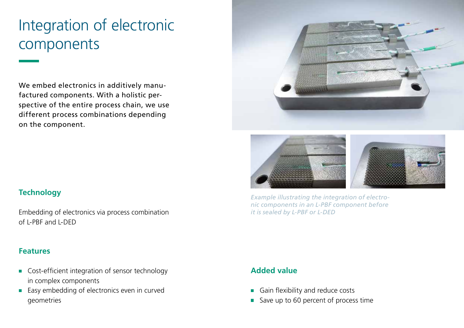# Integration of electronic components

We embed electronics in additively manufactured components. With a holistic perspective of the entire process chain, we use different process combinations depending on the component.





*Example illustrating the integration of electronic components in an L-PBF component before it is sealed by L-PBF or L-DED*

# **Technology**

Embedding of electronics via process combination of L-PBF and L-DED

#### **Features**

- Cost-efficient integration of sensor technology in complex components
- **Easy embedding of electronics even in curved** geometries

- Gain flexibility and reduce costs
- Save up to 60 percent of process time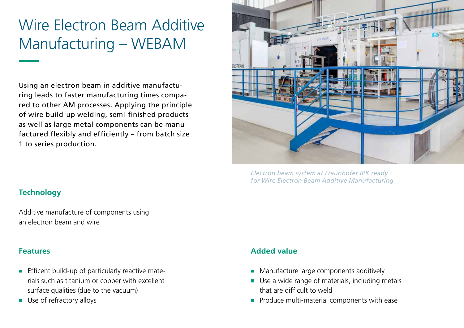# Wire Electron Beam Additive Manufacturing – WEBAM

Using an electron beam in additive manufacturing leads to faster manufacturing times compared to other AM processes. Applying the principle of wire build-up welding, semi-finished products as well as large metal components can be manufactured flexibly and efficiently – from batch size 1 to series production.



*Electron beam system at Fraunhofer IPK ready for Wire Electron Beam Additive Manufacturing*

# **Technology**

Additive manufacture of components using an electron beam and wire

### **Features**

- **Efficent build-up of particularly reactive mate**rials such as titanium or copper with excellent surface qualities (due to the vacuum)
- Use of refractory alloys

- Manufacture large components additively
- Use a wide range of materials, including metals  $\blacksquare$ that are difficult to weld
- **Produce multi-material components with ease**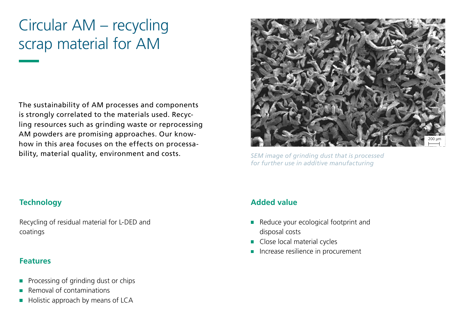# Circular AM – recycling scrap material for AM

The sustainability of AM processes and components is strongly correlated to the materials used. Recycling resources such as grinding waste or reprocessing AM powders are promising approaches. Our knowhow in this area focuses on the effects on processability, material quality, environment and costs.



*SEM image of grinding dust that is processed for further use in additive manufacturing*

### **Technology**

Recycling of residual material for L-DED and coatings

#### **Features**

- Processing of grinding dust or chips
- Removal of contaminations
- Holistic approach by means of LCA

- Reduce your ecological footprint and disposal costs
- Close local material cycles  $\blacksquare$
- **Increase resilience in procurement**